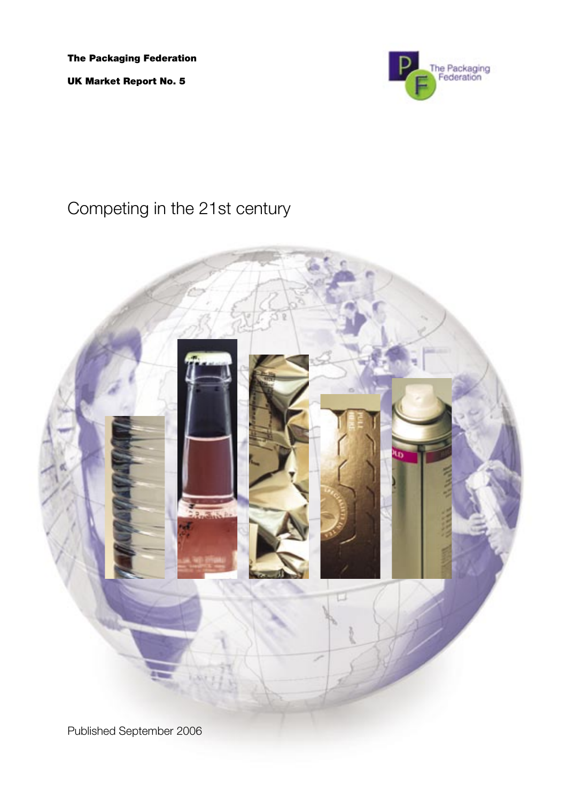The Packaging Federation

UK Market Report No. 5



# Competing in the 21st century

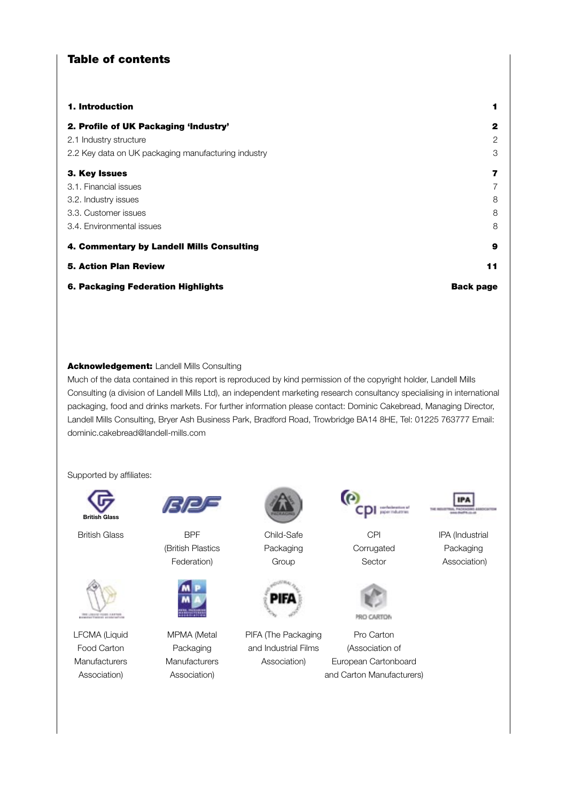# Table of contents

| 1. Introduction                                     | 1                |
|-----------------------------------------------------|------------------|
| 2. Profile of UK Packaging 'Industry'               | 2                |
| 2.1 Industry structure                              | 2                |
| 2.2 Key data on UK packaging manufacturing industry | 3                |
| 3. Key Issues                                       | 7                |
| 3.1. Financial issues                               | 7                |
| 3.2. Industry issues                                | 8                |
| 3.3. Customer issues                                | 8                |
| 3.4. Environmental issues                           | 8                |
| 4. Commentary by Landell Mills Consulting           | 9                |
| <b>5. Action Plan Review</b>                        | 11               |
| 6. Packaging Federation Highlights                  | <b>Back page</b> |

### Acknowledgement: Landell Mills Consulting

**British Glass** Consulting (a division of Landell Mills Ltd), an independent marketing research consultancy specialising in international Much of the data contained in this report is reproduced by kind permission of the copyright holder, Landell Mills packaging, food and drinks markets. For further information please contact: Dominic Cakebread, Managing Director, Landell Mills Consulting, Bryer Ash Business Park, Bradford Road, Trowbridge BA14 8HE, Tel: 01225 763777 Email: dominic.cakebread@landell-mills.com

Supported by affiliates:







(British Plastics **Packaging Corrugated** Packaging





Federation) Group Sector Association)



LFCMA (Liquid MPMA (Metal PIFA (The Packaging Pro Carton Food Carton **Packaging** and Industrial Films (Association of



British Glass **BPF** Child-Safe CHI CHI IPA (Industrial

**IPA** 



 Manufacturers Manufacturers Association) European Cartonboard Association) Association Association and Carton Manufacturers

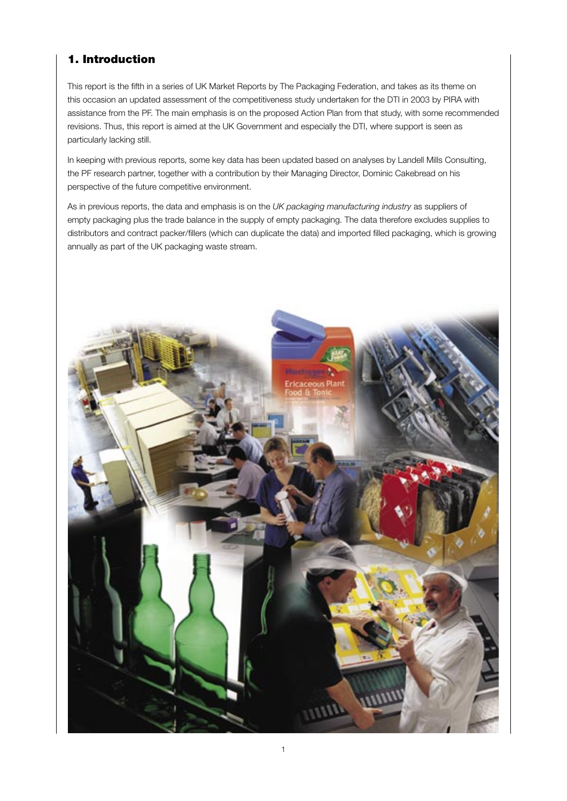# 1. Introduction

This report is the fifth in a series of UK Market Reports by The Packaging Federation, and takes as its theme on this occasion an updated assessment of the competitiveness study undertaken for the DTI in 2003 by PIRA with assistance from the PF. The main emphasis is on the proposed Action Plan from that study, with some recommended revisions. Thus, this report is aimed at the UK Government and especially the DTI, where support is seen as particularly lacking still.

In keeping with previous reports, some key data has been updated based on analyses by Landell Mills Consulting, the PF research partner, together with a contribution by their Managing Director, Dominic Cakebread on his perspective of the future competitive environment.

As in previous reports, the data and emphasis is on the *UK packaging manufacturing industry* as suppliers of empty packaging plus the trade balance in the supply of empty packaging. The data therefore excludes supplies to distributors and contract packer/fillers (which can duplicate the data) and imported filled packaging, which is growing annually as part of the UK packaging waste stream.

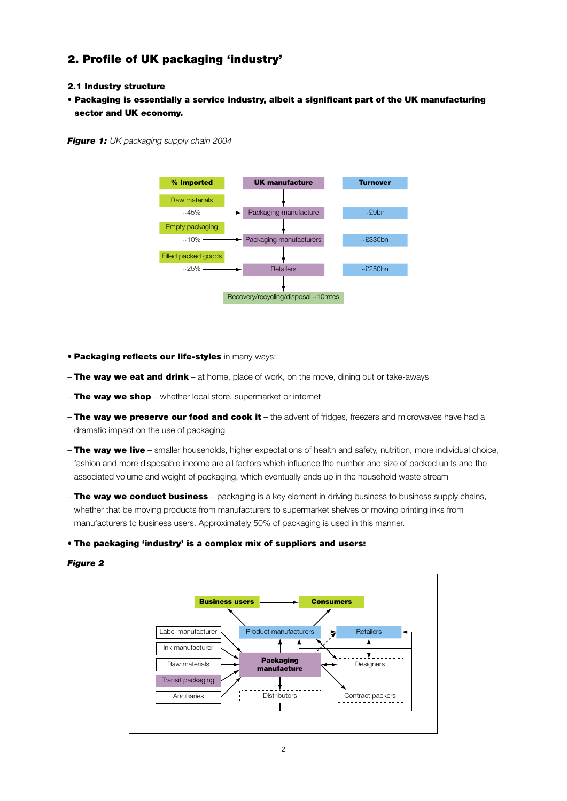# 2. Profile of UK packaging 'industry'

# 2.1 Industry structure

• Packaging is essentially a service industry, albeit a significant part of the UK manufacturing sector and UK economy.

*Figure 1: UK packaging supply chain 2004*



- **Packaging reflects our life-styles** in many ways:
- The way we eat and drink at home, place of work, on the move, dining out or take-aways
- The way we shop whether local store, supermarket or internet
- The way we preserve our food and cook it the advent of fridges, freezers and microwaves have had a dramatic impact on the use of packaging
- The way we live smaller households, higher expectations of health and safety, nutrition, more individual choice, fashion and more disposable income are all factors which influence the number and size of packed units and the associated volume and weight of packaging, which eventually ends up in the household waste stream
- $-$  The way we conduct business packaging is a key element in driving business to business supply chains, whether that be moving products from manufacturers to supermarket shelves or moving printing inks from manufacturers to business users. Approximately 50% of packaging is used in this manner.

### • The packaging 'industry' is a complex mix of suppliers and users:

### *Figure 2*

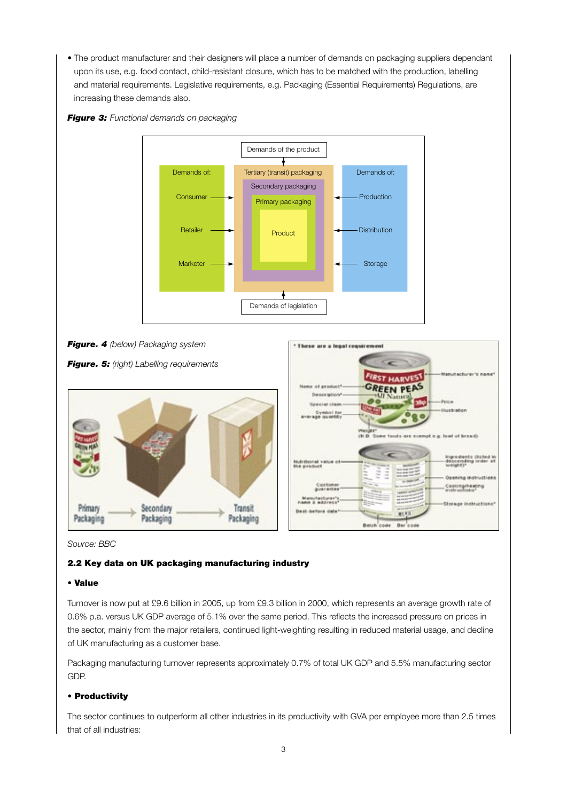• The product manufacturer and their designers will place a number of demands on packaging suppliers dependant upon its use, e.g. food contact, child-resistant closure, which has to be matched with the production, labelling and material requirements. Legislative requirements, e.g. Packaging (Essential Requirements) Regulations, are increasing these demands also.





*Source: BBC*

# 2.2 Key data on UK packaging manufacturing industry

### • Value

Turnover is now put at £9.6 billion in 2005, up from £9.3 billion in 2000, which represents an average growth rate of 0.6% p.a. versus UK GDP average of 5.1% over the same period. This reflects the increased pressure on prices in the sector, mainly from the major retailers, continued light-weighting resulting in reduced material usage, and decline of UK manufacturing as a customer base.

Packaging manufacturing turnover represents approximately 0.7% of total UK GDP and 5.5% manufacturing sector GDP.

### • Productivity

The sector continues to outperform all other industries in its productivity with GVA per employee more than 2.5 times that of all industries: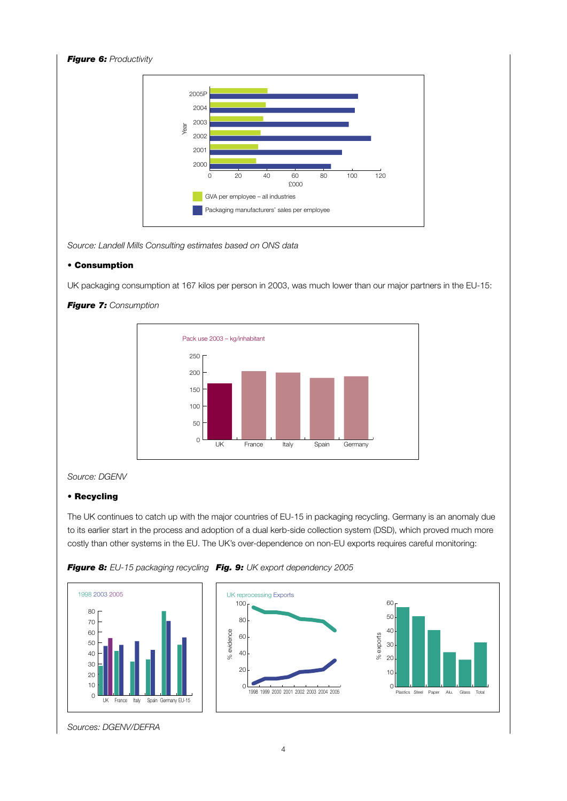

Source: Landell Mills Consulting estimates based on ONS data

# • Consumption

UK packaging consumption at 167 kilos per person in 2003, was much lower than our major partners in the EU-15:



# **Figure 7:** Consumption

# Source: DGENV

# • Recycling

The UK continues to catch up with the major countries of EU-15 in packaging recycling. Germany is an anomaly due to its earlier start in the process and adoption of a dual kerb-side collection system (DSD), which proved much more costly than other systems in the EU. The UK's over-dependence on non-EU exports requires careful monitoring:





Sources: DGENV/DEFRA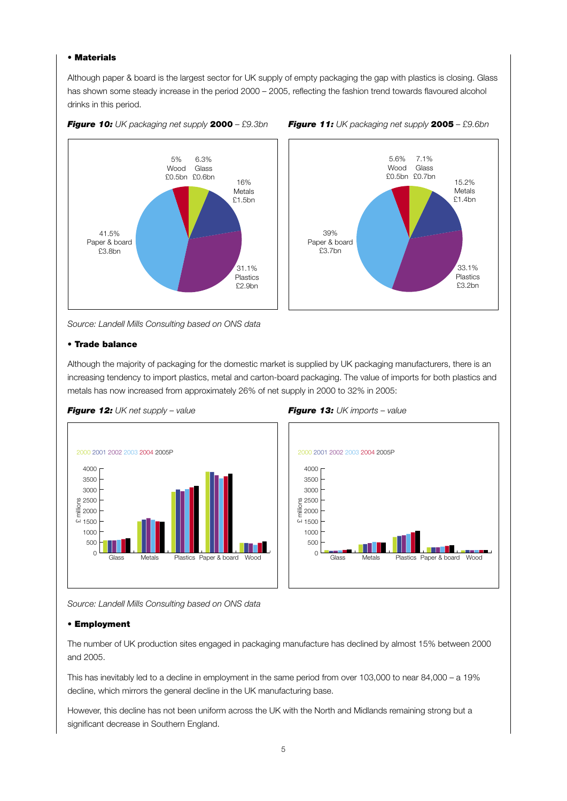#### • Materials

Although paper & board is the largest sector for UK supply of empty packaging the gap with plastics is closing. Glass has shown some steady increase in the period 2000 – 2005, reflecting the fashion trend towards flavoured alcohol drinks in this period.





#### *Figure 10: UK packaging net supply* 2000 *– £9.3bn Figure 11: UK packaging net supply* 2005 *– £9.6bn*

*Source: Landell Mills Consulting based on ONS data*

#### • Trade balance

Although the majority of packaging for the domestic market is supplied by UK packaging manufacturers, there is an increasing tendency to import plastics, metal and carton-board packaging. The value of imports for both plastics and metals has now increased from approximately 26% of net supply in 2000 to 32% in 2005:







*Source: Landell Mills Consulting based on ONS data*

#### • Employment

The number of UK production sites engaged in packaging manufacture has declined by almost 15% between 2000 and 2005.

This has inevitably led to a decline in employment in the same period from over 103,000 to near 84,000 – a 19% decline, which mirrors the general decline in the UK manufacturing base.

However, this decline has not been uniform across the UK with the North and Midlands remaining strong but a significant decrease in Southern England.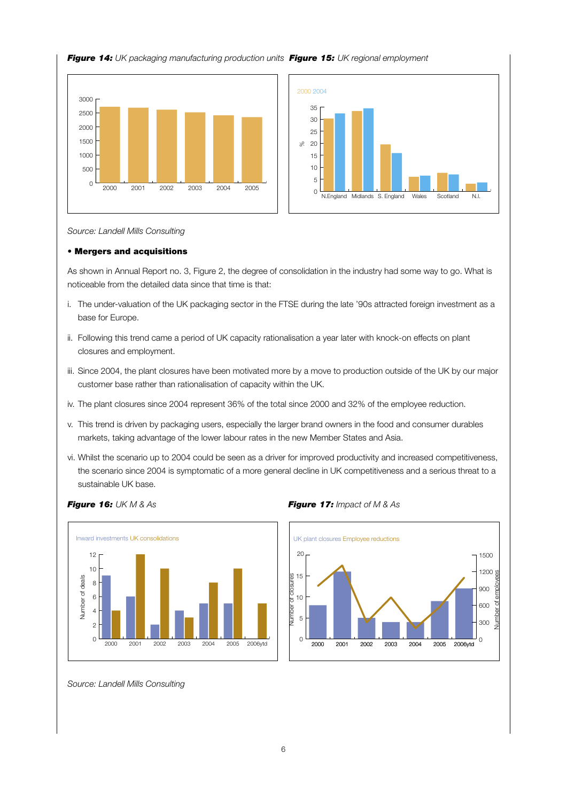





*Source: Landell Mills Consulting*

#### • Mergers and acquisitions

As shown in Annual Report no. 3, Figure 2, the degree of consolidation in the industry had some way to go. What is noticeable from the detailed data since that time is that:

- i. The under-valuation of the UK packaging sector in the FTSE during the late '90s attracted foreign investment as a base for Europe.
- ii. Following this trend came a period of UK capacity rationalisation a year later with knock-on effects on plant closures and employment.
- iii. Since 2004, the plant closures have been motivated more by a move to production outside of the UK by our major customer base rather than rationalisation of capacity within the UK.
- iv. The plant closures since 2004 represent 36% of the total since 2000 and 32% of the employee reduction.
- v. This trend is driven by packaging users, especially the larger brand owners in the food and consumer durables markets, taking advantage of the lower labour rates in the new Member States and Asia.
- vi. Whilst the scenario up to 2004 could be seen as a driver for improved productivity and increased competitiveness, the scenario since 2004 is symptomatic of a more general decline in UK competitiveness and a serious threat to a sustainable UK base.



*Figure 16: UK M & As Figure 17: Impact of M & As*



*Source: Landell Mills Consulting*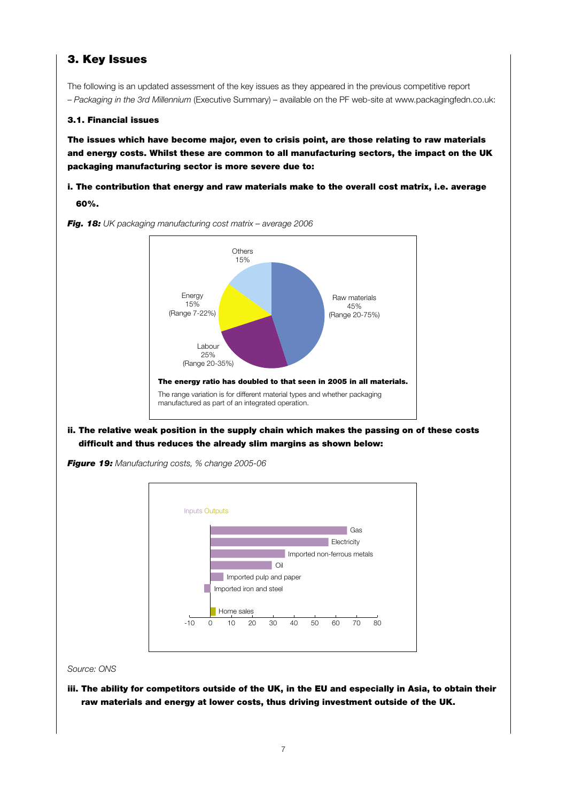# 3. Key Issues

The following is an updated assessment of the key issues as they appeared in the previous competitive report – *Packaging in the 3rd Millennium* (Executive Summary) – available on the PF web-site at www.packagingfedn.co.uk:

# 3.1. Financial issues

The issues which have become major, even to crisis point, are those relating to raw materials and energy costs. Whilst these are common to all manufacturing sectors, the impact on the UK packaging manufacturing sector is more severe due to:

# i. The contribution that energy and raw materials make to the overall cost matrix, i.e. average 60%.



*Fig. 18: UK packaging manufacturing cost matrix – average 2006* 

ii. The relative weak position in the supply chain which makes the passing on of these costs difficult and thus reduces the already slim margins as shown below:



*Figure 19: Manufacturing costs, % change 2005-06* 

*Source: ONS*

iii. The ability for competitors outside of the UK, in the EU and especially in Asia, to obtain their raw materials and energy at lower costs, thus driving investment outside of the UK.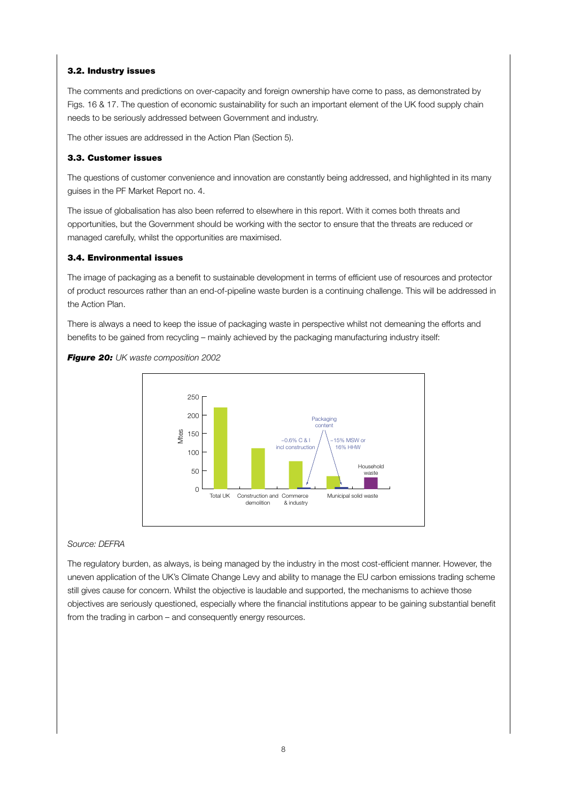# 3.2. Industry issues

The comments and predictions on over-capacity and foreign ownership have come to pass, as demonstrated by Figs. 16 & 17. The question of economic sustainability for such an important element of the UK food supply chain needs to be seriously addressed between Government and industry.

The other issues are addressed in the Action Plan (Section 5).

### 3.3. Customer issues

The questions of customer convenience and innovation are constantly being addressed, and highlighted in its many guises in the PF Market Report no. 4.

The issue of globalisation has also been referred to elsewhere in this report. With it comes both threats and opportunities, but the Government should be working with the sector to ensure that the threats are reduced or managed carefully, whilst the opportunities are maximised.

# 3.4. Environmental issues

The image of packaging as a benefit to sustainable development in terms of efficient use of resources and protector of product resources rather than an end-of-pipeline waste burden is a continuing challenge. This will be addressed in the Action Plan.

There is always a need to keep the issue of packaging waste in perspective whilst not demeaning the efforts and benefits to be gained from recycling – mainly achieved by the packaging manufacturing industry itself:





### *Source: DEFRA*

The regulatory burden, as always, is being managed by the industry in the most cost-efficient manner. However, the uneven application of the UK's Climate Change Levy and ability to manage the EU carbon emissions trading scheme still gives cause for concern. Whilst the objective is laudable and supported, the mechanisms to achieve those objectives are seriously questioned, especially where the financial institutions appear to be gaining substantial benefit from the trading in carbon – and consequently energy resources.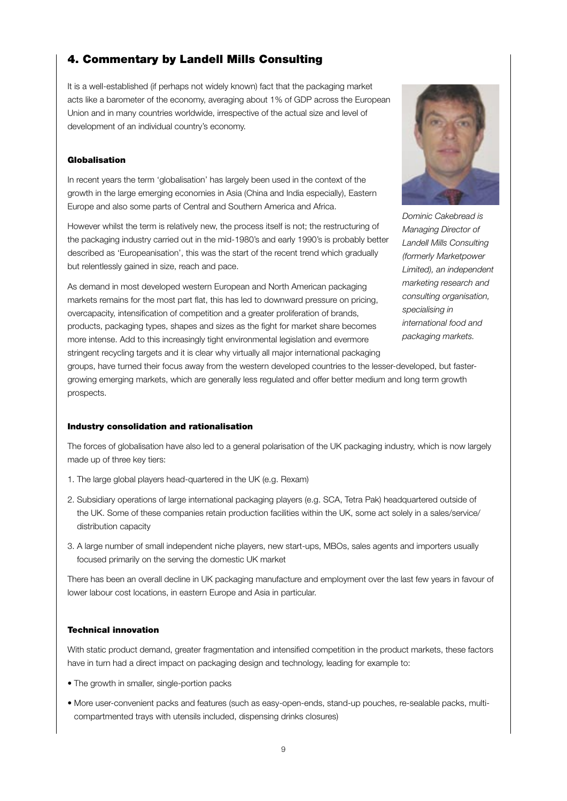# 4. Commentary by Landell Mills Consulting

It is a well-established (if perhaps not widely known) fact that the packaging market acts like a barometer of the economy, averaging about 1% of GDP across the European Union and in many countries worldwide, irrespective of the actual size and level of development of an individual country's economy.

#### Globalisation

In recent years the term 'globalisation' has largely been used in the context of the growth in the large emerging economies in Asia (China and India especially), Eastern Europe and also some parts of Central and Southern America and Africa.

However whilst the term is relatively new, the process itself is not; the restructuring of the packaging industry carried out in the mid-1980's and early 1990's is probably better described as 'Europeanisation', this was the start of the recent trend which gradually but relentlessly gained in size, reach and pace.

As demand in most developed western European and North American packaging markets remains for the most part flat, this has led to downward pressure on pricing, overcapacity, intensification of competition and a greater proliferation of brands, products, packaging types, shapes and sizes as the fight for market share becomes more intense. Add to this increasingly tight environmental legislation and evermore stringent recycling targets and it is clear why virtually all major international packaging



*Dominic Cakebread is Managing Director of Landell Mills Consulting (formerly Marketpower Limited), an independent marketing research and consulting organisation, specialising in international food and packaging markets.*

groups, have turned their focus away from the western developed countries to the lesser-developed, but fastergrowing emerging markets, which are generally less regulated and offer better medium and long term growth prospects.

#### Industry consolidation and rationalisation

The forces of globalisation have also led to a general polarisation of the UK packaging industry, which is now largely made up of three key tiers:

- 1. The large global players head-quartered in the UK (e.g. Rexam)
- 2. Subsidiary operations of large international packaging players (e.g. SCA, Tetra Pak) headquartered outside of the UK. Some of these companies retain production facilities within the UK, some act solely in a sales/service/ distribution capacity
- 3. A large number of small independent niche players, new start-ups, MBOs, sales agents and importers usually focused primarily on the serving the domestic UK market

There has been an overall decline in UK packaging manufacture and employment over the last few years in favour of lower labour cost locations, in eastern Europe and Asia in particular.

#### Technical innovation

With static product demand, greater fragmentation and intensified competition in the product markets, these factors have in turn had a direct impact on packaging design and technology, leading for example to:

- The growth in smaller, single-portion packs
- More user-convenient packs and features (such as easy-open-ends, stand-up pouches, re-sealable packs, multicompartmented trays with utensils included, dispensing drinks closures)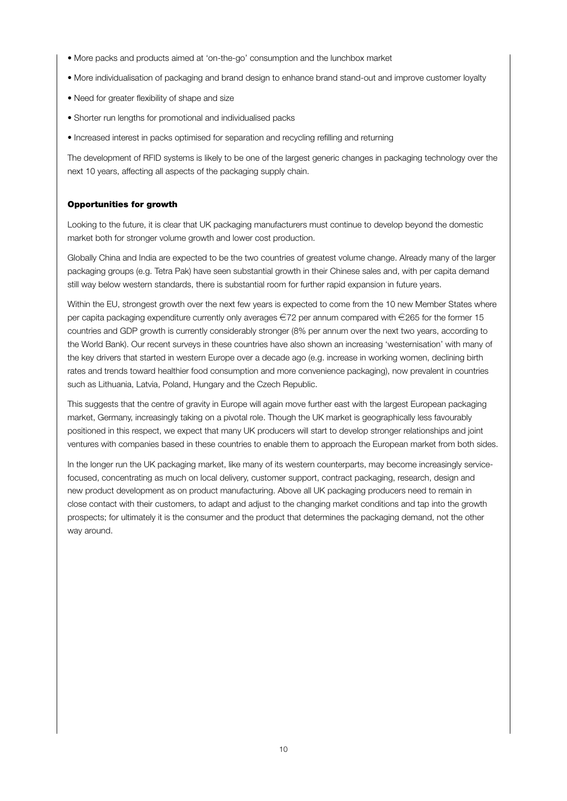- More packs and products aimed at 'on-the-go' consumption and the lunchbox market
- More individualisation of packaging and brand design to enhance brand stand-out and improve customer loyalty
- Need for greater flexibility of shape and size
- Shorter run lengths for promotional and individualised packs
- Increased interest in packs optimised for separation and recycling refilling and returning

The development of RFID systems is likely to be one of the largest generic changes in packaging technology over the next 10 years, affecting all aspects of the packaging supply chain.

### Opportunities for growth

Looking to the future, it is clear that UK packaging manufacturers must continue to develop beyond the domestic market both for stronger volume growth and lower cost production.

Globally China and India are expected to be the two countries of greatest volume change. Already many of the larger packaging groups (e.g. Tetra Pak) have seen substantial growth in their Chinese sales and, with per capita demand still way below western standards, there is substantial room for further rapid expansion in future years.

Within the EU, strongest growth over the next few years is expected to come from the 10 new Member States where per capita packaging expenditure currently only averages  $\in$ 72 per annum compared with  $\in$ 265 for the former 15 countries and GDP growth is currently considerably stronger (8% per annum over the next two years, according to the World Bank). Our recent surveys in these countries have also shown an increasing 'westernisation' with many of the key drivers that started in western Europe over a decade ago (e.g. increase in working women, declining birth rates and trends toward healthier food consumption and more convenience packaging), now prevalent in countries such as Lithuania, Latvia, Poland, Hungary and the Czech Republic.

This suggests that the centre of gravity in Europe will again move further east with the largest European packaging market, Germany, increasingly taking on a pivotal role. Though the UK market is geographically less favourably positioned in this respect, we expect that many UK producers will start to develop stronger relationships and joint ventures with companies based in these countries to enable them to approach the European market from both sides.

In the longer run the UK packaging market, like many of its western counterparts, may become increasingly servicefocused, concentrating as much on local delivery, customer support, contract packaging, research, design and new product development as on product manufacturing. Above all UK packaging producers need to remain in close contact with their customers, to adapt and adjust to the changing market conditions and tap into the growth prospects; for ultimately it is the consumer and the product that determines the packaging demand, not the other way around.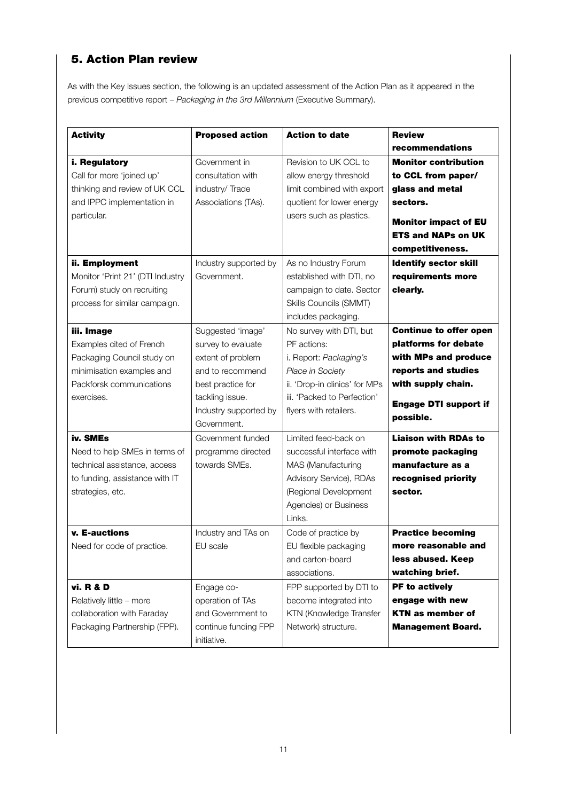# 5. Action Plan review

As with the Key Issues section, the following is an updated assessment of the Action Plan as it appeared in the previous competitive report – *Packaging in the 3rd Millennium* (Executive Summary).

| <b>Activity</b>                                                                                                                                                                                              | <b>Proposed action</b>                                                                                                                                           | <b>Action to date</b>                                                                                                                                                                                                           | <b>Review</b>                                                                                                                                                                                                                     |
|--------------------------------------------------------------------------------------------------------------------------------------------------------------------------------------------------------------|------------------------------------------------------------------------------------------------------------------------------------------------------------------|---------------------------------------------------------------------------------------------------------------------------------------------------------------------------------------------------------------------------------|-----------------------------------------------------------------------------------------------------------------------------------------------------------------------------------------------------------------------------------|
|                                                                                                                                                                                                              |                                                                                                                                                                  |                                                                                                                                                                                                                                 | recommendations                                                                                                                                                                                                                   |
| i. Regulatory<br>Call for more 'joined up'<br>thinking and review of UK CCL<br>and IPPC implementation in<br>particular.<br>ii. Employment<br>Monitor 'Print 21' (DTI Industry<br>Forum) study on recruiting | Government in<br>consultation with<br>industry/Trade<br>Associations (TAs).<br>Industry supported by<br>Government.                                              | Revision to UK CCL to<br>allow energy threshold<br>limit combined with export<br>quotient for lower energy<br>users such as plastics.<br>As no Industry Forum<br>established with DTI, no<br>campaign to date. Sector           | <b>Monitor contribution</b><br>to CCL from paper/<br>glass and metal<br>sectors.<br><b>Monitor impact of EU</b><br><b>ETS and NAPs on UK</b><br>competitiveness.<br><b>Identify sector skill</b><br>requirements more<br>clearly. |
| process for similar campaign.<br>iii. Image<br>Examples cited of French<br>Packaging Council study on<br>minimisation examples and<br>Packforsk communications<br>exercises.                                 | Suggested 'image'<br>survey to evaluate<br>extent of problem<br>and to recommend<br>best practice for<br>tackling issue.<br>Industry supported by<br>Government. | Skills Councils (SMMT)<br>includes packaging.<br>No survey with DTI, but<br>PF actions:<br>i. Report: Packaging's<br>Place in Society<br>ii. 'Drop-in clinics' for MPs<br>iii. 'Packed to Perfection'<br>flyers with retailers. | <b>Continue to offer open</b><br>platforms for debate<br>with MPs and produce<br>reports and studies<br>with supply chain.<br><b>Engage DTI support if</b><br>possible.                                                           |
| iv. SMEs<br>Need to help SMEs in terms of<br>technical assistance, access<br>to funding, assistance with IT<br>strategies, etc.                                                                              | Government funded<br>programme directed<br>towards SMEs.                                                                                                         | Limited feed-back on<br>successful interface with<br>MAS (Manufacturing<br>Advisory Service), RDAs<br>(Regional Development<br>Agencies) or Business<br>Links.                                                                  | <b>Liaison with RDAs to</b><br>promote packaging<br>manufacture as a<br>recognised priority<br>sector.                                                                                                                            |
| v. E-auctions<br>Need for code of practice.                                                                                                                                                                  | Industry and TAs on<br>EU scale                                                                                                                                  | Code of practice by<br>EU flexible packaging<br>and carton-board<br>associations.                                                                                                                                               | <b>Practice becoming</b><br>more reasonable and<br>less abused. Keep<br>watching brief.                                                                                                                                           |
| vi. R & D<br>Relatively little - more<br>collaboration with Faraday<br>Packaging Partnership (FPP).                                                                                                          | Engage co-<br>operation of TAs<br>and Government to<br>continue funding FPP<br>initiative.                                                                       | FPP supported by DTI to<br>become integrated into<br>KTN (Knowledge Transfer<br>Network) structure.                                                                                                                             | PF to actively<br>engage with new<br><b>KTN as member of</b><br><b>Management Board.</b>                                                                                                                                          |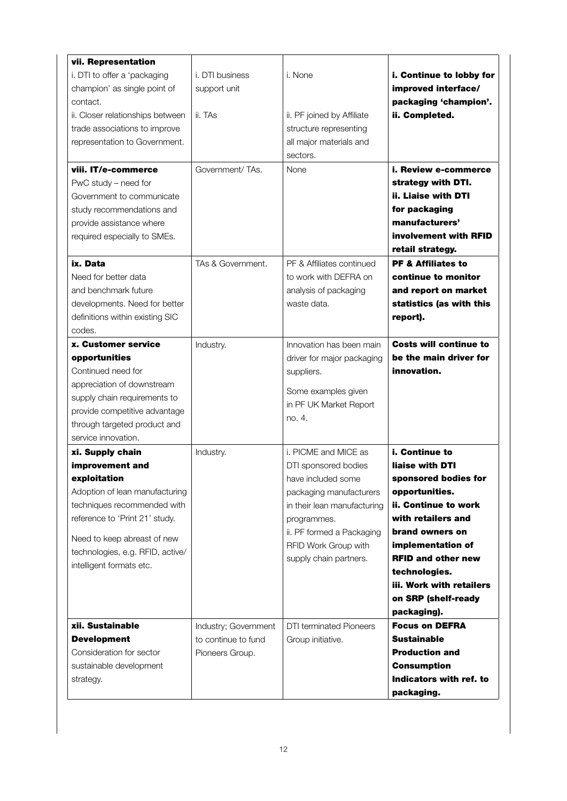| vii. Representation<br>i. DTI to offer a 'packaging<br>champion' as single point of<br>contact.<br>ii. Closer relationships between<br>trade associations to improve<br>representation to Government.<br>viii. IT/e-commerce<br>PwC study – need for<br>Government to communicate<br>study recommendations and<br>provide assistance where<br>required especially to SMEs. | i. DTI business<br>support unit<br>ii. TAs<br>Government/TAs.  | i. None<br>ii. PF joined by Affiliate<br>structure representing<br>all major materials and<br>sectors.<br>None                                                                                                             | i. Continue to lobby for<br>improved interface/<br>packaging 'champion'.<br>ii. Completed.<br>i. Review e-commerce<br>strategy with DTI.<br>ii. Liaise with DTI<br>for packaging<br>manufacturers'<br>involvement with RFID<br>retail strategy.                                   |
|----------------------------------------------------------------------------------------------------------------------------------------------------------------------------------------------------------------------------------------------------------------------------------------------------------------------------------------------------------------------------|----------------------------------------------------------------|----------------------------------------------------------------------------------------------------------------------------------------------------------------------------------------------------------------------------|-----------------------------------------------------------------------------------------------------------------------------------------------------------------------------------------------------------------------------------------------------------------------------------|
| ix. Data<br>Need for better data<br>and benchmark future<br>developments. Need for better<br>definitions within existing SIC<br>codes.                                                                                                                                                                                                                                     | TAs & Government.                                              | PF & Affiliates continued<br>to work with DEFRA on<br>analysis of packaging<br>waste data.                                                                                                                                 | <b>PF &amp; Affiliates to</b><br>continue to monitor<br>and report on market<br>statistics (as with this<br>report).                                                                                                                                                              |
| <b>x. Customer service</b><br>opportunities<br>Continued need for<br>appreciation of downstream<br>supply chain requirements to<br>provide competitive advantage<br>through targeted product and<br>service innovation.                                                                                                                                                    | Industry.                                                      | Innovation has been main<br>driver for major packaging<br>suppliers.<br>Some examples given<br>in PF UK Market Report<br>no. 4.                                                                                            | <b>Costs will continue to</b><br>be the main driver for<br>innovation.                                                                                                                                                                                                            |
| xi. Supply chain<br>improvement and<br>exploitation<br>Adoption of lean manufacturing<br>techniques recommended with<br>reference to 'Print 21' study.<br>Need to keep abreast of new<br>technologies, e.g. RFID, active/<br>intelligent formats etc.                                                                                                                      | Industry.                                                      | i. PICME and MICE as<br>DTI sponsored bodies<br>have included some<br>packaging manufacturers<br>in their lean manufacturing<br>programmes.<br>ii. PF formed a Packaging<br>RFID Work Group with<br>supply chain partners. | i. Continue to<br>liaise with DTI<br>sponsored bodies for<br>opportunities.<br>ii. Continue to work<br>with retailers and<br>brand owners on<br>implementation of<br><b>RFID and other new</b><br>technologies.<br>iii. Work with retailers<br>on SRP (shelf-ready<br>packaging). |
| xii. Sustainable<br><b>Development</b><br>Consideration for sector<br>sustainable development<br>strategy.                                                                                                                                                                                                                                                                 | Industry; Government<br>to continue to fund<br>Pioneers Group. | <b>DTI</b> terminated Pioneers<br>Group initiative.                                                                                                                                                                        | <b>Focus on DEFRA</b><br><b>Sustainable</b><br><b>Production and</b><br><b>Consumption</b><br>Indicators with ref. to<br>packaging.                                                                                                                                               |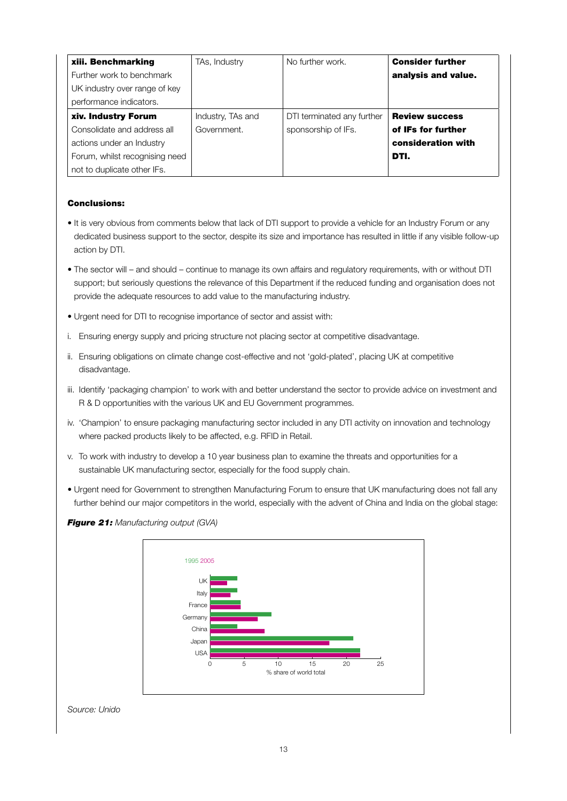| xiii. Benchmarking             | TAs, Industry     | No further work.           | <b>Consider further</b> |
|--------------------------------|-------------------|----------------------------|-------------------------|
| Further work to benchmark      |                   |                            | analysis and value.     |
| UK industry over range of key  |                   |                            |                         |
| performance indicators.        |                   |                            |                         |
| xiv. Industry Forum            | Industry, TAs and | DTI terminated any further | <b>Review success</b>   |
| Consolidate and address all    | Government.       | sponsorship of IFs.        | of IFs for further      |
| actions under an Industry      |                   |                            | consideration with      |
| Forum, whilst recognising need |                   |                            | DTI.                    |
| not to duplicate other IFs.    |                   |                            |                         |

# Conclusions:

- It is very obvious from comments below that lack of DTI support to provide a vehicle for an Industry Forum or any dedicated business support to the sector, despite its size and importance has resulted in little if any visible follow-up action by DTI.
- The sector will and should continue to manage its own affairs and regulatory requirements, with or without DTI support; but seriously questions the relevance of this Department if the reduced funding and organisation does not provide the adequate resources to add value to the manufacturing industry.
- Urgent need for DTI to recognise importance of sector and assist with:
- i. Ensuring energy supply and pricing structure not placing sector at competitive disadvantage.
- ii. Ensuring obligations on climate change cost-effective and not 'gold-plated', placing UK at competitive disadvantage.
- iii. Identify 'packaging champion' to work with and better understand the sector to provide advice on investment and R & D opportunities with the various UK and EU Government programmes.
- iv. 'Champion' to ensure packaging manufacturing sector included in any DTI activity on innovation and technology where packed products likely to be affected, e.g. RFID in Retail.
- v. To work with industry to develop a 10 year business plan to examine the threats and opportunities for a sustainable UK manufacturing sector, especially for the food supply chain.
- Urgent need for Government to strengthen Manufacturing Forum to ensure that UK manufacturing does not fall any further behind our major competitors in the world, especially with the advent of China and India on the global stage:





#### *Source: Unido*